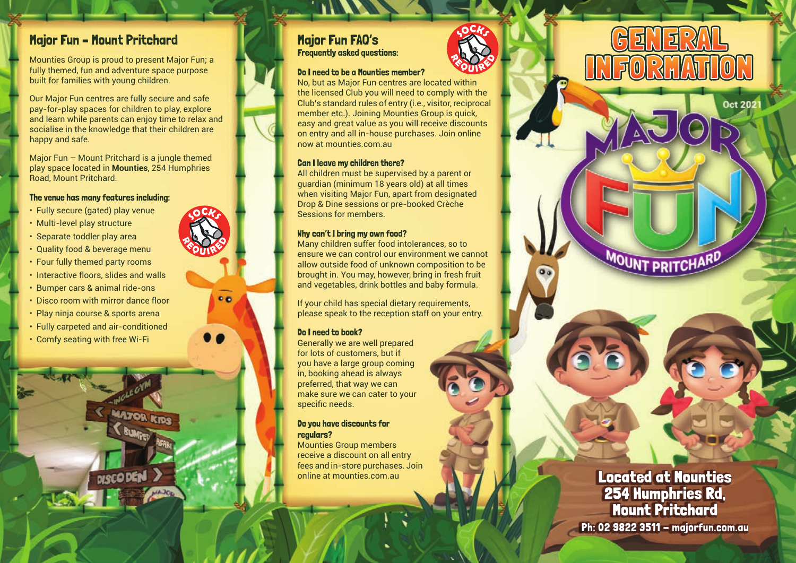### Major Fun – Mount Pritchard

Mounties Group is proud to present Major Fun; a fully themed, fun and adventure space purpose built for families with young children.

Our Major Fun centres are fully secure and safe pay-for-play spaces for children to play, explore and learn while parents can enjoy time to relax and socialise in the knowledge that their children are happy and safe.

Major Fun – Mount Pritchard is a jungle themed play space located in **Mounties**, 254 Humphries Road, Mount Pritchard.

### The venue has many features including:

- Fully secure (gated) play venue
- Multi-level play structure
- Separate toddler play area
- Quality food & beverage menu
- Four fully themed party rooms
- Interactive floors, slides and walls
- Bumper cars & animal ride-ons
- Disco room with mirror dance floor
- Play ninja course & sports arena
- Fully carpeted and air-conditioned
- Comfy seating with free Wi-Fi

### Major Fun FAQ's Frequently asked questions:

#### Do I need to be a Mounties member?

No, but as Major Fun centres are located within the licensed Club you will need to comply with the Club's standard rules of entry (i.e., visitor, reciprocal member etc.). Joining Mounties Group is quick, easy and great value as you will receive discounts on entry and all in-house purchases. Join online now at mounties.com.au

#### Can I leave my children there?

All children must be supervised by a parent or guardian (minimum 18 years old) at all times when visiting Major Fun, apart from designated Drop & Dine sessions or pre-booked Crèche Sessions for members.

#### Why can't I bring my own food?

Many children suffer food intolerances, so to ensure we can control our environment we cannot allow outside food of unknown composition to be brought in. You may, however, bring in fresh fruit and vegetables, drink bottles and baby formula.

If your child has special dietary requirements, please speak to the reception staff on your entry.

### Do I need to book?

 $0<sub>0</sub>$ 

Generally we are well prepared for lots of customers, but if you have a large group coming in, booking ahead is always preferred, that way we can make sure we can cater to your specific needs.

#### Do you have discounts for regulars?

Mounties Group members receive a discount on all entry fees and in-store purchases. Join online at mounties.com.au



 $0<sub>0</sub>$ 

Located at Mounties 254 Humphries Rd, Mount Pritchard

**MOUNT PRITCHARD** 

<u>| 5|</u>  $\mathbb{F}$ 

 $\mathbf{E}$ 

**Oct 202** 

Ph: 02 9822 3511 - majorfun.com.au